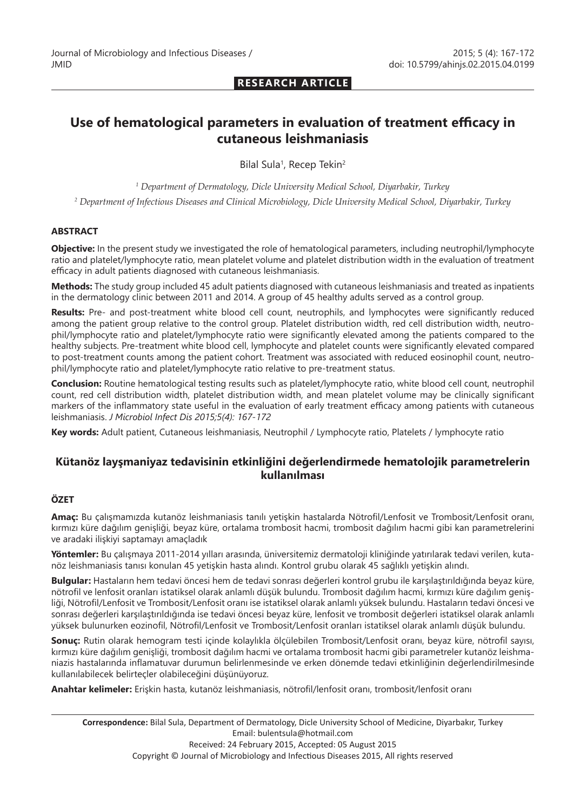## **RESEARCH ARTICLE**

# **Use of hematological parameters in evaluation of treatment efficacy in cutaneous leishmaniasis**

Bilal Sula<sup>1</sup>, Recep Tekin<sup>2</sup>

*1 Department of Dermatology, Dicle University Medical School, Diyarbakir, Turkey*

*2 Department of Infectious Diseases and Clinical Microbiology, Dicle University Medical School, Diyarbakir, Turkey*

#### **ABSTRACT**

**Objective:** In the present study we investigated the role of hematological parameters, including neutrophil/lymphocyte ratio and platelet/lymphocyte ratio, mean platelet volume and platelet distribution width in the evaluation of treatment efficacy in adult patients diagnosed with cutaneous leishmaniasis.

**Methods:** The study group included 45 adult patients diagnosed with cutaneous leishmaniasis and treated as inpatients in the dermatology clinic between 2011 and 2014. A group of 45 healthy adults served as a control group.

**Results:** Pre- and post-treatment white blood cell count, neutrophils, and lymphocytes were significantly reduced among the patient group relative to the control group. Platelet distribution width, red cell distribution width, neutrophil/lymphocyte ratio and platelet/lymphocyte ratio were significantly elevated among the patients compared to the healthy subjects. Pre-treatment white blood cell, lymphocyte and platelet counts were significantly elevated compared to post-treatment counts among the patient cohort. Treatment was associated with reduced eosinophil count, neutrophil/lymphocyte ratio and platelet/lymphocyte ratio relative to pre-treatment status.

**Conclusion:** Routine hematological testing results such as platelet/lymphocyte ratio, white blood cell count, neutrophil count, red cell distribution width, platelet distribution width, and mean platelet volume may be clinically significant markers of the inflammatory state useful in the evaluation of early treatment efficacy among patients with cutaneous leishmaniasis. *J Microbiol Infect Dis 2015;5(4): 167-172*

**Key words:** Adult patient, Cutaneous leishmaniasis, Neutrophil / Lymphocyte ratio, Platelets / lymphocyte ratio

# **Kütanöz layşmaniyaz tedavisinin etkinliğini değerlendirmede hematolojik parametrelerin kullanılması**

## **ÖZET**

**Amaç:** Bu çalışmamızda kutanöz leishmaniasis tanılı yetişkin hastalarda Nötrofil/Lenfosit ve Trombosit/Lenfosit oranı, kırmızı küre dağılım genişliği, beyaz küre, ortalama trombosit hacmi, trombosit dağılım hacmi gibi kan parametrelerini ve aradaki ilişkiyi saptamayı amaçladık

**Yöntemler:** Bu çalışmaya 2011-2014 yılları arasında, üniversitemiz dermatoloji kliniğinde yatırılarak tedavi verilen, kutanöz leishmaniasis tanısı konulan 45 yetişkin hasta alındı. Kontrol grubu olarak 45 sağlıklı yetişkin alındı.

**Bulgular:** Hastaların hem tedavi öncesi hem de tedavi sonrası değerleri kontrol grubu ile karşılaştırıldığında beyaz küre, nötrofil ve lenfosit oranları istatiksel olarak anlamlı düşük bulundu. Trombosit dağılım hacmi, kırmızı küre dağılım genişliği, Nötrofil/Lenfosit ve Trombosit/Lenfosit oranı ise istatiksel olarak anlamlı yüksek bulundu. Hastaların tedavi öncesi ve sonrası değerleri karşılaştırıldığında ise tedavi öncesi beyaz küre, lenfosit ve trombosit değerleri istatiksel olarak anlamlı yüksek bulunurken eozinofil, Nötrofil/Lenfosit ve Trombosit/Lenfosit oranları istatiksel olarak anlamlı düşük bulundu.

**Sonuç:** Rutin olarak hemogram testi içinde kolaylıkla ölçülebilen Trombosit/Lenfosit oranı, beyaz küre, nötrofil sayısı, kırmızı küre dağılım genişliği, trombosit dağılım hacmi ve ortalama trombosit hacmi gibi parametreler kutanöz leishmaniazis hastalarında inflamatuvar durumun belirlenmesinde ve erken dönemde tedavi etkinliğinin değerlendirilmesinde kullanılabilecek belirteçler olabileceğini düşünüyoruz.

**Anahtar kelimeler:** Erişkin hasta, kutanöz leishmaniasis, nötrofil/lenfosit oranı, trombosit/lenfosit oranı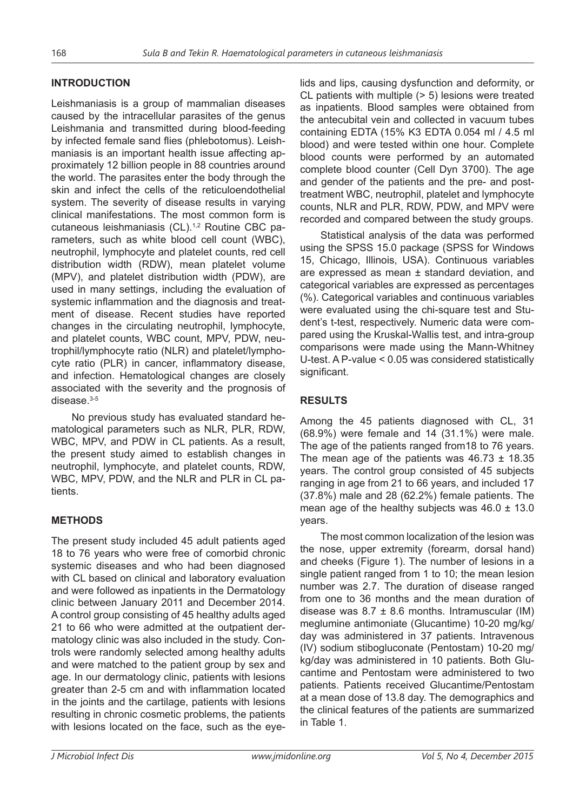#### **INTRODUCTION**

Leishmaniasis is a group of mammalian diseases caused by the intracellular parasites of the genus Leishmania and transmitted during blood-feeding by infected female sand flies (phlebotomus). Leishmaniasis is an important health issue affecting approximately 12 billion people in 88 countries around the world. The parasites enter the body through the skin and infect the cells of the reticuloendothelial system. The severity of disease results in varying clinical manifestations. The most common form is cutaneous leishmaniasis (CL).<sup>1,2</sup> Routine CBC parameters, such as white blood cell count (WBC), neutrophil, lymphocyte and platelet counts, red cell distribution width (RDW), mean platelet volume (MPV), and platelet distribution width (PDW), are used in many settings, including the evaluation of systemic inflammation and the diagnosis and treatment of disease. Recent studies have reported changes in the circulating neutrophil, lymphocyte, and platelet counts, WBC count, MPV, PDW, neutrophil/lymphocyte ratio (NLR) and platelet/lymphocyte ratio (PLR) in cancer, inflammatory disease, and infection. Hematological changes are closely associated with the severity and the prognosis of disease $3-5$ 

No previous study has evaluated standard hematological parameters such as NLR, PLR, RDW, WBC, MPV, and PDW in CL patients. As a result, the present study aimed to establish changes in neutrophil, lymphocyte, and platelet counts, RDW, WBC, MPV, PDW, and the NLR and PLR in CL patients.

## **METHODS**

The present study included 45 adult patients aged 18 to 76 years who were free of comorbid chronic systemic diseases and who had been diagnosed with CL based on clinical and laboratory evaluation and were followed as inpatients in the Dermatology clinic between January 2011 and December 2014. A control group consisting of 45 healthy adults aged 21 to 66 who were admitted at the outpatient dermatology clinic was also included in the study. Controls were randomly selected among healthy adults and were matched to the patient group by sex and age. In our dermatology clinic, patients with lesions greater than 2-5 cm and with inflammation located in the joints and the cartilage, patients with lesions resulting in chronic cosmetic problems, the patients with lesions located on the face, such as the eyelids and lips, causing dysfunction and deformity, or CL patients with multiple (> 5) lesions were treated as inpatients. Blood samples were obtained from the antecubital vein and collected in vacuum tubes containing EDTA (15% K3 EDTA 0.054 ml / 4.5 ml blood) and were tested within one hour. Complete blood counts were performed by an automated complete blood counter (Cell Dyn 3700). The age and gender of the patients and the pre- and posttreatment WBC, neutrophil, platelet and lymphocyte counts, NLR and PLR, RDW, PDW, and MPV were recorded and compared between the study groups.

Statistical analysis of the data was performed using the SPSS 15.0 package (SPSS for Windows 15, Chicago, Illinois, USA). Continuous variables are expressed as mean ± standard deviation, and categorical variables are expressed as percentages (%). Categorical variables and continuous variables were evaluated using the chi-square test and Student's t-test, respectively. Numeric data were compared using the Kruskal-Wallis test, and intra-group comparisons were made using the Mann-Whitney U-test. A P-value < 0.05 was considered statistically significant.

#### **RESULTS**

Among the 45 patients diagnosed with CL, 31 (68.9%) were female and 14 (31.1%) were male. The age of the patients ranged from18 to 76 years. The mean age of the patients was 46.73 ± 18.35 years. The control group consisted of 45 subjects ranging in age from 21 to 66 years, and included 17 (37.8%) male and 28 (62.2%) female patients. The mean age of the healthy subjects was  $46.0 \pm 13.0$ years.

The most common localization of the lesion was the nose, upper extremity (forearm, dorsal hand) and cheeks (Figure 1). The number of lesions in a single patient ranged from 1 to 10; the mean lesion number was 2.7. The duration of disease ranged from one to 36 months and the mean duration of disease was  $8.7 \pm 8.6$  months. Intramuscular (IM) meglumine antimoniate (Glucantime) 10-20 mg/kg/ day was administered in 37 patients. Intravenous (IV) sodium stibogluconate (Pentostam) 10-20 mg/ kg/day was administered in 10 patients. Both Glucantime and Pentostam were administered to two patients. Patients received Glucantime/Pentostam at a mean dose of 13.8 day. The demographics and the clinical features of the patients are summarized in Table 1.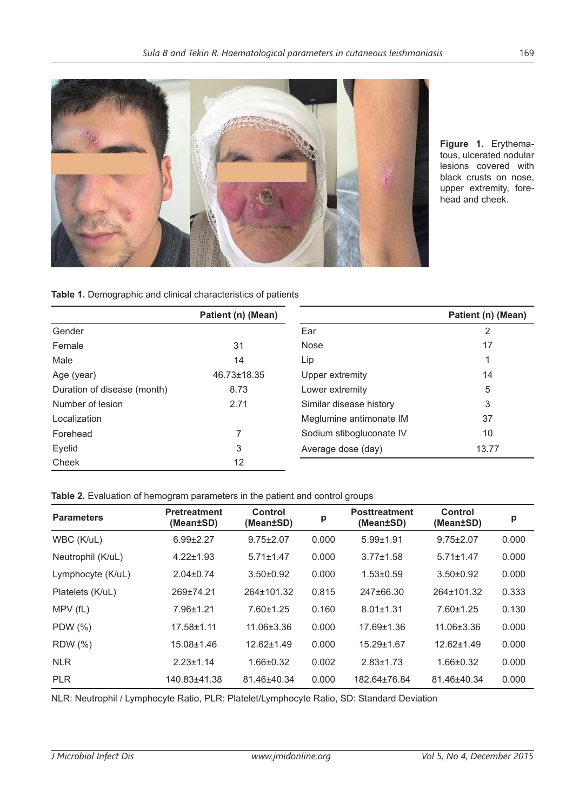

**Figure 1.** Erythematous, ulcerated nodular lesions covered with black crusts on nose, upper extremity, forehead and cheek.

**Table 1.** Demographic and clinical characteristics of patients

|                             | Patient (n) (Mean) |                          | Patient (n) (Mean) |
|-----------------------------|--------------------|--------------------------|--------------------|
| Gender                      |                    | Ear                      | 2                  |
| Female                      | 31                 | Nose                     | 17                 |
| Male                        | 14                 | Lip                      | 1                  |
| Age (year)                  | 46.73±18.35        | Upper extremity          | 14                 |
| Duration of disease (month) | 8.73               | Lower extremity          | 5                  |
| Number of lesion            | 2.71               | Similar disease history  | 3                  |
| Localization                |                    | Meglumine antimonate IM  | 37                 |
| Forehead                    | ⇁                  | Sodium stibogluconate IV | 10                 |
| Eyelid                      | 3                  | Average dose (day)       | 13.77              |
| Cheek                       | 12                 |                          |                    |

#### **Table 2.** Evaluation of hemogram parameters in the patient and control groups

| <b>Parameters</b> | <b>Pretreatment</b><br>(Mean±SD) | Control<br>(Mean±SD) | р     | <b>Posttreatment</b><br>(Mean±SD) | Control<br>(Mean±SD) | p     |
|-------------------|----------------------------------|----------------------|-------|-----------------------------------|----------------------|-------|
| WBC (K/uL)        | $6.99 \pm 2.27$                  | $9.75 \pm 2.07$      | 0.000 | $5.99 + 1.91$                     | $9.75 \pm 2.07$      | 0.000 |
| Neutrophil (K/uL) | $4.22 \pm 1.93$                  | $5.71 \pm 1.47$      | 0.000 | $3.77 \pm 1.58$                   | $5.71 \pm 1.47$      | 0.000 |
| Lymphocyte (K/uL) | $2.04 \pm 0.74$                  | $3.50+0.92$          | 0.000 | $1.53 \pm 0.59$                   | $3.50 \pm 0.92$      | 0.000 |
| Platelets (K/uL)  | 269±74.21                        | 264±101.32           | 0.815 | 247±66.30                         | 264±101.32           | 0.333 |
| MPV(fL)           | 7.96±1.21                        | $7.60 \pm 1.25$      | 0.160 | $8.01 \pm 1.31$                   | 7.60±1.25            | 0.130 |
| PDW (%)           | $17.58 \pm 1.11$                 | 11.06±3.36           | 0.000 | 17.69±1.36                        | 11.06±3.36           | 0.000 |
| <b>RDW</b> (%)    | 15.08±1.46                       | $12.62 \pm 1.49$     | 0.000 | 15.29±1.67                        | $12.62 \pm 1.49$     | 0.000 |
| <b>NLR</b>        | $2.23 \pm 1.14$                  | $1.66 \pm 0.32$      | 0.002 | $2.83 \pm 1.73$                   | $1.66 \pm 0.32$      | 0.000 |
| <b>PLR</b>        | 140.83±41.38                     | 81.46±40.34          | 0.000 | 182.64±76.84                      | 81.46±40.34          | 0.000 |

NLR: Neutrophil / Lymphocyte Ratio, PLR: Platelet/Lymphocyte Ratio, SD: Standard Deviation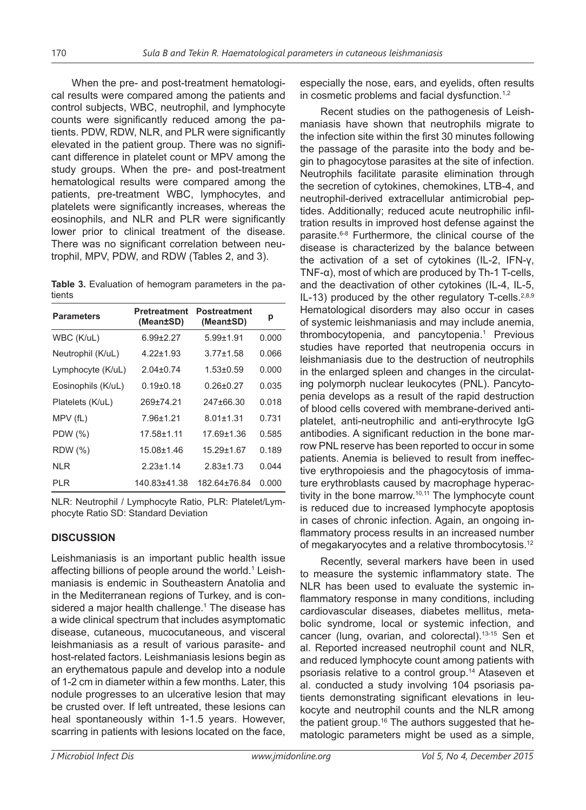When the pre- and post-treatment hematological results were compared among the patients and control subjects, WBC, neutrophil, and lymphocyte counts were significantly reduced among the patients. PDW, RDW, NLR, and PLR were significantly elevated in the patient group. There was no significant difference in platelet count or MPV among the study groups. When the pre- and post-treatment hematological results were compared among the patients, pre-treatment WBC, lymphocytes, and platelets were significantly increases, whereas the eosinophils, and NLR and PLR were significantly lower prior to clinical treatment of the disease. There was no significant correlation between neutrophil, MPV, PDW, and RDW (Tables 2, and 3).

**Table 3.** Evaluation of hemogram parameters in the patients

| <b>Parameters</b>  | <b>Pretreatment</b><br>(Mean±SD) | Postreatment<br>(Mean±SD) | р     |
|--------------------|----------------------------------|---------------------------|-------|
| WBC (K/uL)         | $6.99 \pm 2.27$                  | $5.99 + 1.91$             | 0.000 |
| Neutrophil (K/uL)  | $4.22 + 1.93$                    | $3.77 + 1.58$             | 0.066 |
| Lymphocyte (K/uL)  | $2.04 + 0.74$                    | $1.53 + 0.59$             | 0.000 |
| Eosinophils (K/uL) | $0.19 + 0.18$                    | $0.26 + 0.27$             | 0.035 |
| Platelets (K/uL)   | 269+74.21                        | 247+66.30                 | 0.018 |
| $MPV$ (fL)         | 7.96+1.21                        | $8.01 + 1.31$             | 0.731 |
| PDW (%)            | 17.58+1.11                       | 17.69+1.36                | 0.585 |
| <b>RDW</b> (%)     | 15.08±1.46                       | 15 29+1.67                | 0.189 |
| NI R               | $2.23 + 1.14$                    | $2.83 + 1.73$             | 0.044 |
| PI R               | 140.83±41.38                     | 182 64+76 84              | 0.000 |

NLR: Neutrophil / Lymphocyte Ratio, PLR: Platelet/Lymphocyte Ratio SD: Standard Deviation

# **DISCUSSION**

Leishmaniasis is an important public health issue affecting billions of people around the world.1 Leishmaniasis is endemic in Southeastern Anatolia and in the Mediterranean regions of Turkey, and is considered a major health challenge.<sup>1</sup> The disease has a wide clinical spectrum that includes asymptomatic disease, cutaneous, mucocutaneous, and visceral leishmaniasis as a result of various parasite- and host-related factors. Leishmaniasis lesions begin as an erythematous papule and develop into a nodule of 1-2 cm in diameter within a few months. Later, this nodule progresses to an ulcerative lesion that may be crusted over. If left untreated, these lesions can heal spontaneously within 1-1.5 years. However, scarring in patients with lesions located on the face,

especially the nose, ears, and eyelids, often results in cosmetic problems and facial dysfunction.<sup>1,2</sup>

Recent studies on the pathogenesis of Leishmaniasis have shown that neutrophils migrate to the infection site within the first 30 minutes following the passage of the parasite into the body and begin to phagocytose parasites at the site of infection. Neutrophils facilitate parasite elimination through the secretion of cytokines, chemokines, LTB-4, and neutrophil-derived extracellular antimicrobial peptides. Additionally; reduced acute neutrophilic infiltration results in improved host defense against the parasite.6-8 Furthermore, the clinical course of the disease is characterized by the balance between the activation of a set of cytokines (IL-2, IFN-γ, TNF-α), most of which are produced by Th-1 T-cells, and the deactivation of other cytokines (IL-4, IL-5, IL-13) produced by the other regulatory T-cells.<sup>2,8,9</sup> Hematological disorders may also occur in cases of systemic leishmaniasis and may include anemia, thrombocytopenia, and pancytopenia.<sup>1</sup> Previous studies have reported that neutropenia occurs in leishmaniasis due to the destruction of neutrophils in the enlarged spleen and changes in the circulating polymorph nuclear leukocytes (PNL). Pancytopenia develops as a result of the rapid destruction of blood cells covered with membrane-derived antiplatelet, anti-neutrophilic and anti-erythrocyte IgG antibodies. A significant reduction in the bone marrow PNL reserve has been reported to occur in some patients. Anemia is believed to result from ineffective erythropoiesis and the phagocytosis of immature erythroblasts caused by macrophage hyperactivity in the bone marrow.<sup>10,11</sup> The lymphocyte count is reduced due to increased lymphocyte apoptosis in cases of chronic infection. Again, an ongoing inflammatory process results in an increased number of megakaryocytes and a relative thrombocytosis.<sup>12</sup>

Recently, several markers have been in used to measure the systemic inflammatory state. The NLR has been used to evaluate the systemic inflammatory response in many conditions, including cardiovascular diseases, diabetes mellitus, metabolic syndrome, local or systemic infection, and cancer (lung, ovarian, and colorectal).13-15 Sen et al. Reported increased neutrophil count and NLR, and reduced lymphocyte count among patients with psoriasis relative to a control group.14 Ataseven et al. conducted a study involving 104 psoriasis patients demonstrating significant elevations in leukocyte and neutrophil counts and the NLR among the patient group.16 The authors suggested that hematologic parameters might be used as a simple,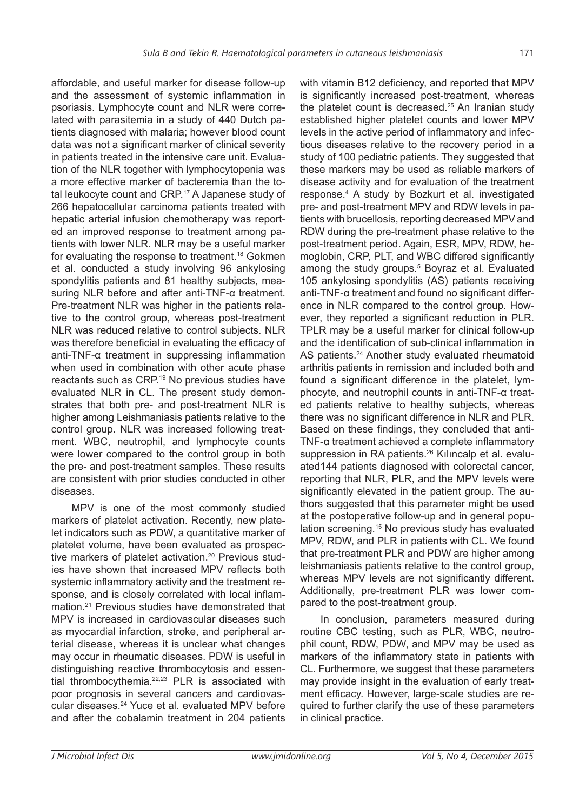affordable, and useful marker for disease follow-up and the assessment of systemic inflammation in psoriasis. Lymphocyte count and NLR were correlated with parasitemia in a study of 440 Dutch patients diagnosed with malaria; however blood count data was not a significant marker of clinical severity in patients treated in the intensive care unit. Evaluation of the NLR together with lymphocytopenia was a more effective marker of bacteremia than the total leukocyte count and CRP.<sup>17</sup> A Japanese study of 266 hepatocellular carcinoma patients treated with hepatic arterial infusion chemotherapy was reported an improved response to treatment among patients with lower NLR. NLR may be a useful marker for evaluating the response to treatment.<sup>18</sup> Gokmen et al. conducted a study involving 96 ankylosing spondylitis patients and 81 healthy subjects, measuring NLR before and after anti-TNF-α treatment. Pre-treatment NLR was higher in the patients relative to the control group, whereas post-treatment NLR was reduced relative to control subjects. NLR was therefore beneficial in evaluating the efficacy of anti-TNF-α treatment in suppressing inflammation when used in combination with other acute phase reactants such as CRP.19 No previous studies have evaluated NLR in CL. The present study demonstrates that both pre- and post-treatment NLR is higher among Leishmaniasis patients relative to the control group. NLR was increased following treatment. WBC, neutrophil, and lymphocyte counts were lower compared to the control group in both the pre- and post-treatment samples. These results are consistent with prior studies conducted in other diseases.

MPV is one of the most commonly studied markers of platelet activation. Recently, new platelet indicators such as PDW, a quantitative marker of platelet volume, have been evaluated as prospective markers of platelet activation.<sup>20</sup> Previous studies have shown that increased MPV reflects both systemic inflammatory activity and the treatment response, and is closely correlated with local inflammation.<sup>21</sup> Previous studies have demonstrated that MPV is increased in cardiovascular diseases such as myocardial infarction, stroke, and peripheral arterial disease, whereas it is unclear what changes may occur in rheumatic diseases. PDW is useful in distinguishing reactive thrombocytosis and essential thrombocythemia.<sup>22,23</sup> PLR is associated with poor prognosis in several cancers and cardiovascular diseases.24 Yuce et al. evaluated MPV before and after the cobalamin treatment in 204 patients

with vitamin B12 deficiency, and reported that MPV is significantly increased post-treatment, whereas the platelet count is decreased.<sup>25</sup> An Iranian study established higher platelet counts and lower MPV levels in the active period of inflammatory and infectious diseases relative to the recovery period in a study of 100 pediatric patients. They suggested that these markers may be used as reliable markers of disease activity and for evaluation of the treatment response.4 A study by Bozkurt et al. investigated pre- and post-treatment MPV and RDW levels in patients with brucellosis, reporting decreased MPV and RDW during the pre-treatment phase relative to the post-treatment period. Again, ESR, MPV, RDW, hemoglobin, CRP, PLT, and WBC differed significantly among the study groups.<sup>5</sup> Boyraz et al. Evaluated 105 ankylosing spondylitis (AS) patients receiving anti-TNF-α treatment and found no significant difference in NLR compared to the control group. However, they reported a significant reduction in PLR. TPLR may be a useful marker for clinical follow-up and the identification of sub-clinical inflammation in AS patients.<sup>24</sup> Another study evaluated rheumatoid arthritis patients in remission and included both and found a significant difference in the platelet, lymphocyte, and neutrophil counts in anti-TNF-α treated patients relative to healthy subjects, whereas there was no significant difference in NLR and PLR. Based on these findings, they concluded that anti-TNF-α treatment achieved a complete inflammatory suppression in RA patients.<sup>26</sup> Kılıncalp et al. evaluated144 patients diagnosed with colorectal cancer, reporting that NLR, PLR, and the MPV levels were significantly elevated in the patient group. The authors suggested that this parameter might be used at the postoperative follow-up and in general population screening.<sup>15</sup> No previous study has evaluated MPV, RDW, and PLR in patients with CL. We found that pre-treatment PLR and PDW are higher among leishmaniasis patients relative to the control group, whereas MPV levels are not significantly different. Additionally, pre-treatment PLR was lower compared to the post-treatment group.

In conclusion, parameters measured during routine CBC testing, such as PLR, WBC, neutrophil count, RDW, PDW, and MPV may be used as markers of the inflammatory state in patients with CL. Furthermore, we suggest that these parameters may provide insight in the evaluation of early treatment efficacy. However, large-scale studies are required to further clarify the use of these parameters in clinical practice.